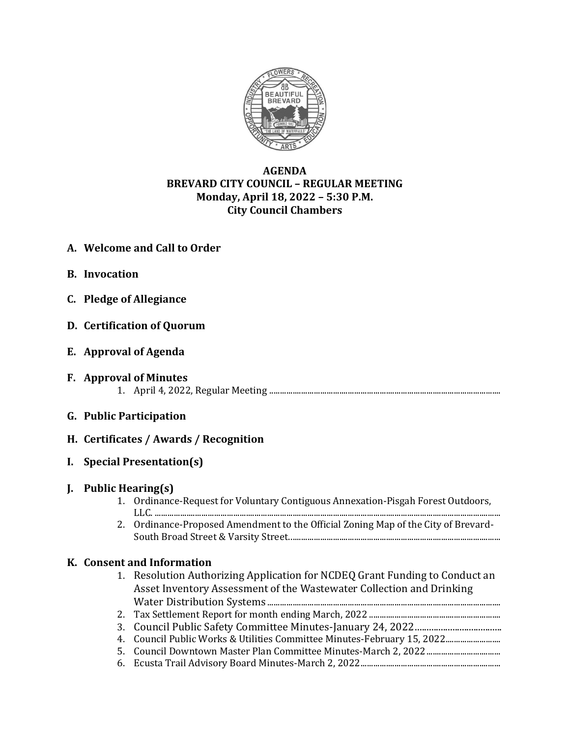

# **AGENDA BREVARD CITY COUNCIL – REGULAR MEETING Monday, April 18, 2022 – 5:30 P.M. City Council Chambers**

- **A. Welcome and Call to Order**
- **B. Invocation**
- **C. Pledge of Allegiance**
- **D. Certification of Quorum**
- **E. Approval of Agenda**
- **F. Approval of Minutes** 1. April 4, 2022, Regular Meeting .............................................................................................................
- **G. Public Participation**
- **H. Certificates / Awards / Recognition**
- **I. Special Presentation(s)**

## **J. Public Hearing(s)**

- 1. Ordinance-Request for Voluntary Contiguous Annexation-Pisgah Forest Outdoors, LLC. ...................................................................................................................................................................
- 2. Ordinance-Proposed Amendment to the Official Zoning Map of the City of Brevard-South Broad Street & Varsity Street....................................................................................................

# **K. Consent and Information**

- 1. Resolution Authorizing Application for NCDEQ Grant Funding to Conduct an Asset Inventory Assessment of the Wastewater Collection and Drinking Water Distribution Systems ..............................................................................................................
- 2. Tax Settlement Report for month ending March, 2022 ..............................................................
- 3. Council Public Safety Committee Minutes-January 24, 2022.....................................
- 4. Council Public Works & Utilities Committee Minutes-February 15, 2022.......................... 5. Council Downtown Master Plan Committee Minutes-March 2, 2022...................................
- 6. Ecusta Trail Advisory Board Minutes-March 2, 2022..................................................................